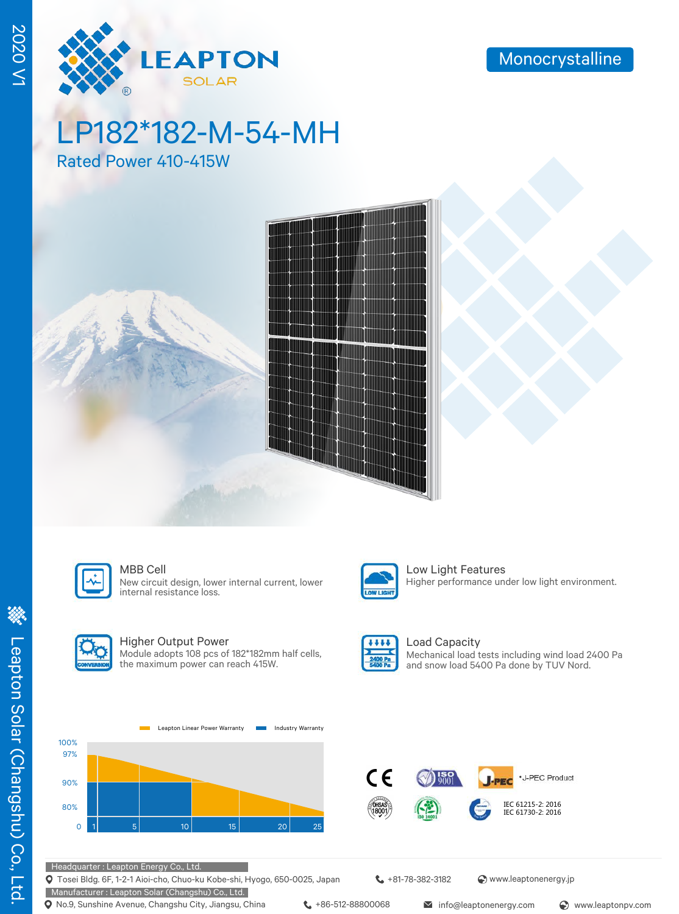

LP182\*182-M-54-MH

Rated Power 410-415W





#### MBB Cell **Low Light Features**

New circuit design, lower internal current, lower internal resistance loss.



#### Higher Output Power

Module adopts 108 pcs of 182\*182mm half cells, the maximum power can reach 415W.



OW LIGHT

#### Load Capacity Mechanical load tests including wind load 2400 Pa and snow load 5400 Pa done by TUV Nord.

Higher performance under low light environment.





Tosei Bldg. 6F, 1-2-1 Aioi-cho, Chuo-ku Kobe-shi, Hyogo, 650-0025, Japan

Manufacturer : Leapton Solar (Changshu) Co., Ltd. **Q** No.9, Sunshine Avenue, Changshu City, Jiangsu, China  $\leftarrow$  +86-512-88800068 info@leaptonenergy.com  $\odot$  www.leaptonpv.com

+81-78-382-3182 www.leaptonenergy.jp

2020 V1